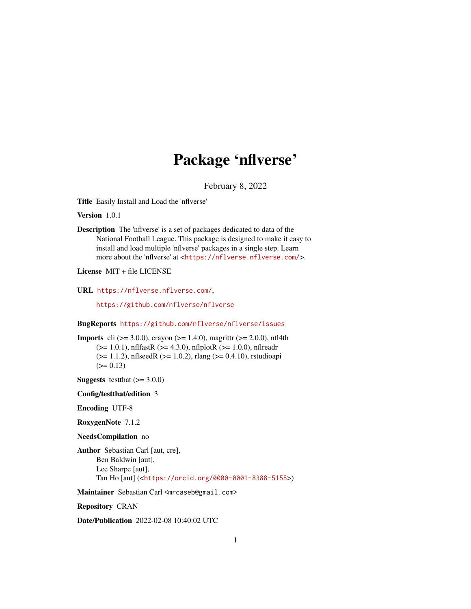## Package 'nflverse'

February 8, 2022

Title Easily Install and Load the 'nflverse'

Version 1.0.1

Description The 'nflverse' is a set of packages dedicated to data of the National Football League. This package is designed to make it easy to install and load multiple 'nflverse' packages in a single step. Learn more about the 'nflverse' at <<https://nflverse.nflverse.com/>>.

License MIT + file LICENSE

URL <https://nflverse.nflverse.com/>,

<https://github.com/nflverse/nflverse>

BugReports <https://github.com/nflverse/nflverse/issues>

**Imports** cli ( $> = 3.0.0$ ), crayon ( $> = 1.4.0$ ), magrittr ( $> = 2.0.0$ ), nfl4th  $(>= 1.0.1)$ , nflfastR  $(>= 4.3.0)$ , nflplotR  $(>= 1.0.0)$ , nflreadr  $(>= 1.1.2)$ , nflseedR  $(>= 1.0.2)$ , rlang  $(>= 0.4.10)$ , rstudioapi  $(>= 0.13)$ 

**Suggests** testthat  $(>= 3.0.0)$ 

Config/testthat/edition 3

Encoding UTF-8

RoxygenNote 7.1.2

NeedsCompilation no

Author Sebastian Carl [aut, cre], Ben Baldwin [aut], Lee Sharpe [aut], Tan Ho [aut] (<<https://orcid.org/0000-0001-8388-5155>>)

Maintainer Sebastian Carl <mrcaseb@gmail.com>

Repository CRAN

Date/Publication 2022-02-08 10:40:02 UTC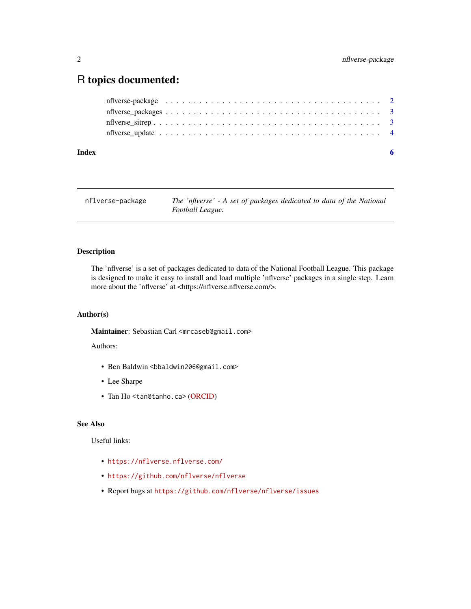### <span id="page-1-0"></span>R topics documented:

| Index |  |
|-------|--|
|       |  |
|       |  |
|       |  |
|       |  |

| nflverse-package | The 'nflverse' - A set of packages dedicated to data of the National |
|------------------|----------------------------------------------------------------------|
|                  | Football League.                                                     |

#### Description

The 'nflverse' is a set of packages dedicated to data of the National Football League. This package is designed to make it easy to install and load multiple 'nflverse' packages in a single step. Learn more about the 'nflverse' at <https://nflverse.nflverse.com/>.

#### Author(s)

Maintainer: Sebastian Carl <mrcaseb@gmail.com>

Authors:

- Ben Baldwin <br/>bbaldwin206@gmail.com>
- Lee Sharpe
- Tan Ho <tan@tanho.ca> [\(ORCID\)](https://orcid.org/0000-0001-8388-5155)

#### See Also

Useful links:

- <https://nflverse.nflverse.com/>
- <https://github.com/nflverse/nflverse>
- Report bugs at <https://github.com/nflverse/nflverse/issues>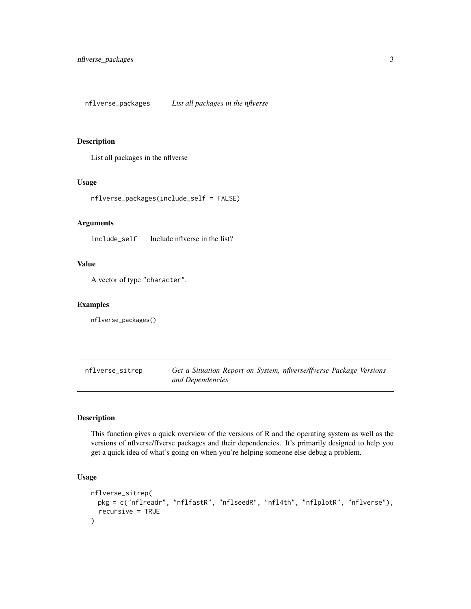#### <span id="page-2-0"></span>Description

List all packages in the nflverse

#### Usage

```
nflverse_packages(include_self = FALSE)
```
#### Arguments

include\_self Include nflverse in the list?

#### Value

A vector of type "character".

#### Examples

nflverse\_packages()

nflverse\_sitrep *Get a Situation Report on System, nflverse/ffverse Package Versions and Dependencies*

#### Description

This function gives a quick overview of the versions of R and the operating system as well as the versions of nflverse/ffverse packages and their dependencies. It's primarily designed to help you get a quick idea of what's going on when you're helping someone else debug a problem.

#### Usage

```
nflverse_sitrep(
 pkg = c("nflreadr", "nflfastR", "nflseedR", "nfl4th", "nflplotR", "nflverse"),
  recursive = TRUE
\mathcal{E}
```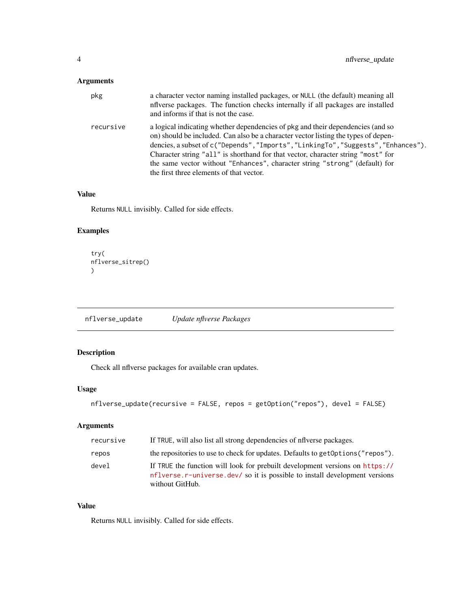#### <span id="page-3-0"></span>Arguments

| pkg       | a character vector naming installed packages, or NULL (the default) meaning all<br>influence packages. The function checks internally if all packages are installed<br>and informs if that is not the case.                                                                                                                                                                                                                                                                |
|-----------|----------------------------------------------------------------------------------------------------------------------------------------------------------------------------------------------------------------------------------------------------------------------------------------------------------------------------------------------------------------------------------------------------------------------------------------------------------------------------|
| recursive | a logical indicating whether dependencies of pkg and their dependencies (and so<br>on) should be included. Can also be a character vector listing the types of depen-<br>dencies, a subset of c("Depends", "Imports", "LinkingTo", "Suggests", "Enhances").<br>Character string "all" is shorthand for that vector, character string "most" for<br>the same vector without "Enhances", character string "strong" (default) for<br>the first three elements of that vector. |

#### Value

Returns NULL invisibly. Called for side effects.

#### Examples

```
try(
nflverse_sitrep()
)
```
nflverse\_update *Update nflverse Packages*

#### Description

Check all nflverse packages for available cran updates.

#### Usage

```
nflverse_update(recursive = FALSE, repos = getOption("repos"), devel = FALSE)
```
#### Arguments

| recursive | If TRUE, will also list all strong dependencies of nflverse packages.                                                                                                         |
|-----------|-------------------------------------------------------------------------------------------------------------------------------------------------------------------------------|
| repos     | the repositories to use to check for updates. Defaults to get Options ("repos").                                                                                              |
| devel     | If TRUE the function will look for prebuilt development versions on https://<br>nflverse.r-universe.dev/ so it is possible to install development versions<br>without GitHub. |

#### Value

Returns NULL invisibly. Called for side effects.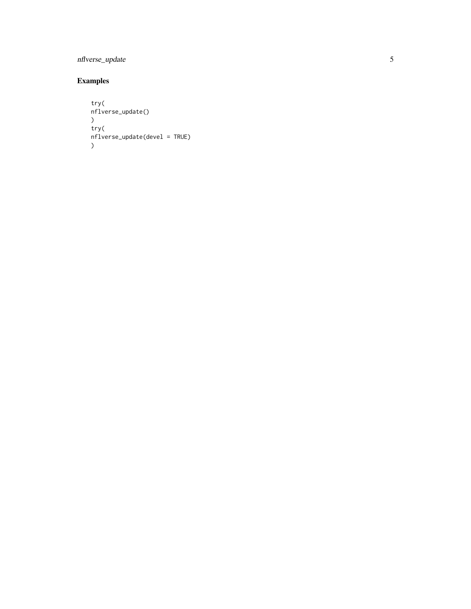#### nflverse\_update

#### Examples

```
try(
nflverse_update() \lambdatry(
nflverse_update(devel = TRUE) \mathcal{L}
```